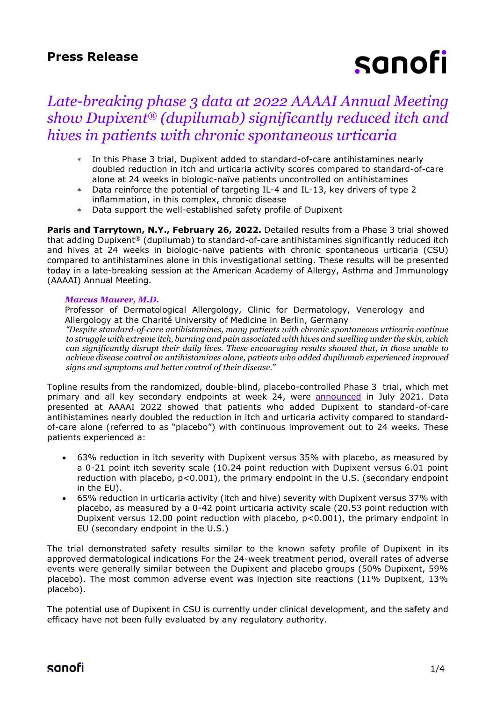## **Press Release**

# sanofi

## *Late-breaking phase 3 data at 2022 AAAAI Annual Meeting show Dupixent® (dupilumab) significantly reduced itch and hives in patients with chronic spontaneous urticaria*

- In this Phase 3 trial, Dupixent added to standard-of-care antihistamines nearly doubled reduction in itch and urticaria activity scores compared to standard-of-care alone at 24 weeks in biologic-naïve patients uncontrolled on antihistamines
- Data reinforce the potential of targeting IL-4 and IL-13, key drivers of type 2 inflammation, in this complex, chronic disease
- Data support the well-established safety profile of Dupixent

**Paris and Tarrytown, N.Y., February 26, 2022.** Detailed results from a Phase 3 trial showed that adding Dupixent® (dupilumab) to standard-of-care antihistamines significantly reduced itch and hives at 24 weeks in biologic-naïve patients with chronic spontaneous urticaria (CSU) compared to antihistamines alone in this investigational setting. These results will be presented today in a late-breaking session at the American Academy of Allergy, Asthma and Immunology (AAAAI) Annual Meeting.

#### *Marcus Maurer, M.D.*

Professor of Dermatological Allergology, Clinic for Dermatology, Venerology and Allergology at the Charité University of Medicine in Berlin, Germany

*"Despite standard-of-care antihistamines, many patients with chronic spontaneous urticaria continue to struggle with extreme itch, burning and pain associated with hives and swelling under the skin, which can significantly disrupt their daily lives. These encouraging results showed that, in those unable to achieve disease control on antihistamines alone, patients who added dupilumab experienced improved signs and symptoms and better control of their disease."* 

Topline results from the randomized, double-blind, placebo-controlled Phase 3 trial, which met primary and all key secondary endpoints at week 24, were **[announced](https://www.sanofi.com/en/media-room/press-releases/2021/2021-07-29-07-00-00-2270858)** in July 2021. Data presented at AAAAI 2022 showed that patients who added Dupixent to standard-of-care antihistamines nearly doubled the reduction in itch and urticaria activity compared to standardof-care alone (referred to as "placebo") with continuous improvement out to 24 weeks. These patients experienced a:

- 63% reduction in itch severity with Dupixent versus 35% with placebo, as measured by a 0-21 point itch severity scale (10.24 point reduction with Dupixent versus 6.01 point reduction with placebo,  $p<0.001$ ), the primary endpoint in the U.S. (secondary endpoint in the EU).
- 65% reduction in urticaria activity (itch and hive) severity with Dupixent versus 37% with placebo, as measured by a 0-42 point urticaria activity scale (20.53 point reduction with Dupixent versus 12.00 point reduction with placebo,  $p<0.001$ ), the primary endpoint in EU (secondary endpoint in the U.S.)

The trial demonstrated safety results similar to the known safety profile of Dupixent in its approved dermatological indications For the 24-week treatment period, overall rates of adverse events were generally similar between the Dupixent and placebo groups (50% Dupixent, 59% placebo). The most common adverse event was injection site reactions (11% Dupixent, 13% placebo).

The potential use of Dupixent in CSU is currently under clinical development, and the safety and efficacy have not been fully evaluated by any regulatory authority.

## sanofi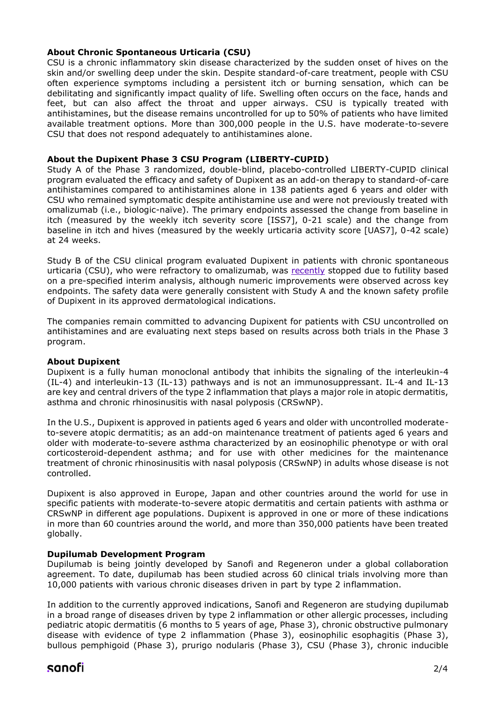#### **About Chronic Spontaneous Urticaria (CSU)**

CSU is a chronic inflammatory skin disease characterized by the sudden onset of hives on the skin and/or swelling deep under the skin. Despite standard-of-care treatment, people with CSU often experience symptoms including a persistent itch or burning sensation, which can be debilitating and significantly impact quality of life. Swelling often occurs on the face, hands and feet, but can also affect the throat and upper airways. CSU is typically treated with antihistamines, but the disease remains uncontrolled for up to 50% of patients who have limited available treatment options. More than 300,000 people in the U.S. have moderate-to-severe CSU that does not respond adequately to antihistamines alone.

#### **About the Dupixent Phase 3 CSU Program (LIBERTY-CUPID)**

Study A of the Phase 3 randomized, double-blind, placebo-controlled LIBERTY-CUPID clinical program evaluated the efficacy and safety of Dupixent as an add-on therapy to standard-of-care antihistamines compared to antihistamines alone in 138 patients aged 6 years and older with CSU who remained symptomatic despite antihistamine use and were not previously treated with omalizumab (i.e., biologic-naïve). The primary endpoints assessed the change from baseline in itch (measured by the weekly itch severity score [ISS7], 0-21 scale) and the change from baseline in itch and hives (measured by the weekly urticaria activity score [UAS7], 0-42 scale) at 24 weeks.

Study B of the CSU clinical program evaluated Dupixent in patients with chronic spontaneous urticaria (CSU), who were refractory to omalizumab, was [recently](https://www.sanofi.com/en/media-room/press-releases/2022/2022-02-18-07-00-00-2387700) stopped due to futility based on a pre-specified interim analysis, although numeric improvements were observed across key endpoints. The safety data were generally consistent with Study A and the known safety profile of Dupixent in its approved dermatological indications.

The companies remain committed to advancing Dupixent for patients with CSU uncontrolled on antihistamines and are evaluating next steps based on results across both trials in the Phase 3 program.

#### **About Dupixent**

Dupixent is a fully human monoclonal antibody that inhibits the signaling of the interleukin-4 (IL-4) and interleukin-13 (IL-13) pathways and is not an immunosuppressant. IL-4 and IL-13 are key and central drivers of the type 2 inflammation that plays a major role in atopic dermatitis, asthma and chronic rhinosinusitis with nasal polyposis (CRSwNP).

In the U.S., Dupixent is approved in patients aged 6 years and older with uncontrolled moderateto-severe atopic dermatitis; as an add-on maintenance treatment of patients aged 6 years and older with moderate-to-severe asthma characterized by an eosinophilic phenotype or with oral corticosteroid-dependent asthma; and for use with other medicines for the maintenance treatment of chronic rhinosinusitis with nasal polyposis (CRSwNP) in adults whose disease is not controlled.

Dupixent is also approved in Europe, Japan and other countries around the world for use in specific patients with moderate-to-severe atopic dermatitis and certain patients with asthma or CRSwNP in different age populations. Dupixent is approved in one or more of these indications in more than 60 countries around the world, and more than 350,000 patients have been treated globally.

#### **Dupilumab Development Program**

Dupilumab is being jointly developed by Sanofi and Regeneron under a global collaboration agreement. To date, dupilumab has been studied across 60 clinical trials involving more than 10,000 patients with various chronic diseases driven in part by type 2 inflammation.

In addition to the currently approved indications, Sanofi and Regeneron are studying dupilumab in a broad range of diseases driven by type 2 inflammation or other allergic processes, including pediatric atopic dermatitis (6 months to 5 years of age, Phase 3), chronic obstructive pulmonary disease with evidence of type 2 inflammation (Phase 3), eosinophilic esophagitis (Phase 3), bullous pemphigoid (Phase 3), prurigo nodularis (Phase 3), CSU (Phase 3), chronic inducible

## sanofi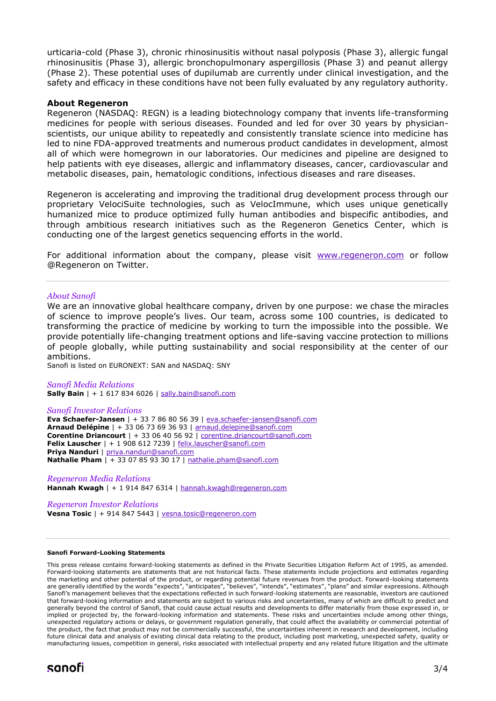urticaria-cold (Phase 3), chronic rhinosinusitis without nasal polyposis (Phase 3), allergic fungal rhinosinusitis (Phase 3), allergic bronchopulmonary aspergillosis (Phase 3) and peanut allergy (Phase 2). These potential uses of dupilumab are currently under clinical investigation, and the safety and efficacy in these conditions have not been fully evaluated by any regulatory authority.

#### **About Regeneron**

Regeneron (NASDAQ: REGN) is a leading biotechnology company that invents life-transforming medicines for people with serious diseases. Founded and led for over 30 years by physicianscientists, our unique ability to repeatedly and consistently translate science into medicine has led to nine FDA-approved treatments and numerous product candidates in development, almost all of which were homegrown in our laboratories. Our medicines and pipeline are designed to help patients with eye diseases, allergic and inflammatory diseases, cancer, cardiovascular and metabolic diseases, pain, hematologic conditions, infectious diseases and rare diseases.

Regeneron is accelerating and improving the traditional drug development process through our proprietary VelociSuite technologies, such as VelocImmune, which uses unique genetically humanized mice to produce optimized fully human antibodies and bispecific antibodies, and through ambitious research initiatives such as the Regeneron Genetics Center, which is conducting one of the largest genetics sequencing efforts in the world.

For additional information about the company, please visit [www.regeneron.com](http://www.regeneron.com/) or follow @Regeneron on Twitter.

#### *About Sanofi*

We are an innovative global healthcare company, driven by one purpose: we chase the miracles of science to improve people's lives. Our team, across some 100 countries, is dedicated to transforming the practice of medicine by working to turn the impossible into the possible. We provide potentially life-changing treatment options and life-saving vaccine protection to millions of people globally, while putting sustainability and social responsibility at the center of our ambitions.

Sanofi is listed on EURONEXT: SAN and NASDAQ: SNY

*Sanofi Media Relations* **Sally Bain** | + 1 617 834 6026 | [sally.bain@sanofi.com](mailto:sally.bain@sanofi.com)

#### *Sanofi Investor Relations*

**Eva Schaefer-Jansen** | + 33 7 86 80 56 39 | [eva.schaefer-jansen@sanofi.com](mailto:eva.schaefer-jansen@sanofi.com) **Arnaud Delépine** | + 33 06 73 69 36 93 | [arnaud.delepine@sanofi.com](mailto:arnaud.delepine@sanofi.com) **Corentine Driancourt** | + 33 06 40 56 92 | [corentine.driancourt@sanofi.com](mailto:corentine.driancourt@sanofi.com) **Felix Lauscher** | + 1 908 612 7239 | [felix.lauscher@sanofi.com](mailto:felix.lauscher@sanofi.com) **Priya Nanduri** | [priya.nanduri@sanofi.com](mailto:priya.nanduri@sanofi.com) **Nathalie Pham** | + 33 07 85 93 30 17 | [nathalie.pham@sanofi.com](mailto:nathalie.pham@sanofi.com)

*Regeneron Media Relations* **Hannah Kwagh** | + 1 914 847 6314 [| hannah.kwagh@regeneron.com](mailto:hannah.kwagh@regeneron.com)

#### *Regeneron Investor Relations*

**Vesna Tosic** | + 914 847 5443 | [vesna.tosic@regeneron.com](mailto:vesna.tosic@regeneron.com)

#### **Sanofi Forward-Looking Statements**

This press release contains forward-looking statements as defined in the Private Securities Litigation Reform Act of 1995, as amended. Forward-looking statements are statements that are not historical facts. These statements include projections and estimates regarding the marketing and other potential of the product, or regarding potential future revenues from the product. Forward-looking statements are generally identified by the words "expects", "anticipates", "believes", "intends", "estimates", "plans" and similar expressions. Although Sanofi's management believes that the expectations reflected in such forward-looking statements are reasonable, investors are cautioned that forward-looking information and statements are subject to various risks and uncertainties, many of which are difficult to predict and generally beyond the control of Sanofi, that could cause actual results and developments to differ materially from those expressed in, or implied or projected by, the forward-looking information and statements. These risks and uncertainties include among other things, unexpected regulatory actions or delays, or government regulation generally, that could affect the availability or commercial potential of the product, the fact that product may not be commercially successful, the uncertainties inherent in research and development, including future clinical data and analysis of existing clinical data relating to the product, including post marketing, unexpected safety, quality or manufacturing issues, competition in general, risks associated with intellectual property and any related future litigation and the ultimate